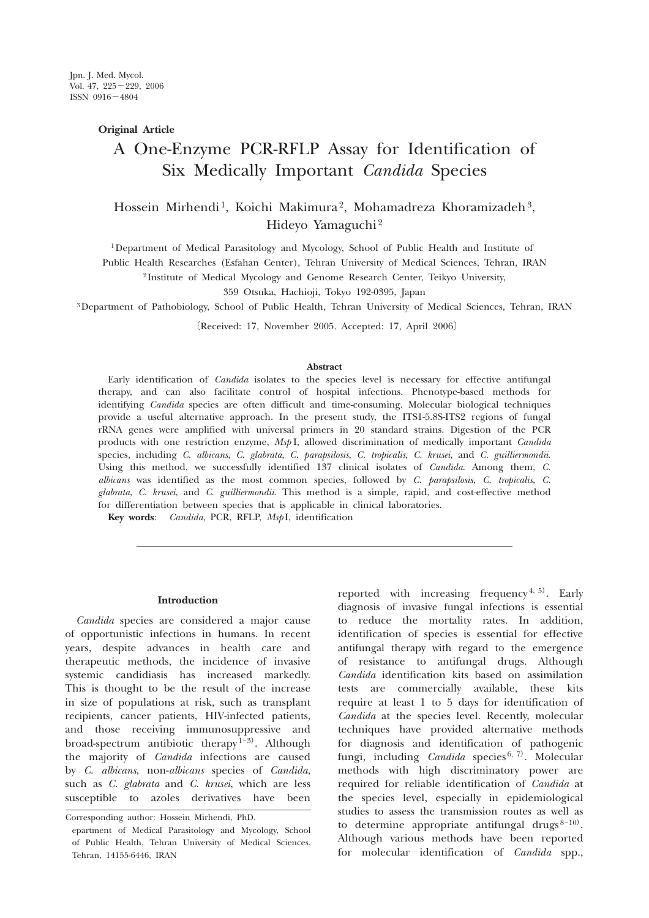# **Original Article**

# A One-Enzyme PCR-RFLP Assay for Identification of Six Medically Important *Candida* Species

# Hossein Mirhendi<sup>1</sup>, Koichi Makimura<sup>2</sup>, Mohamadreza Khoramizadeh<sup>3</sup>, Hideyo Yamaguchi 2

1 Department of Medical Parasitology and Mycology, School of Public Health and Institute of

Public Health Researches (Esfahan Center), Tehran University of Medical Sciences, Tehran, IRAN

2 Institute of Medical Mycology and Genome Research Center, Teikyo University,

359 Otsuka, Hachioji, Tokyo 192-0395, Japan

3 Department of Pathobiology, School of Public Health, Tehran University of Medical Sciences, Tehran, IRAN

〔Received: 17, November 2005. Accepted: 17, April 2006〕

#### **Abstract**

Early identification of *Candida* isolates to the species level is necessary for effective antifungal therapy, and can also facilitate control of hospital infections. Phenotype-based methods for identifying *Candida* species are often difficult and time-consuming. Molecular biological techniques provide a useful alternative approach. In the present study, the ITS1-5.8S-ITS2 regions of fungal rRNA genes were amplified with universal primers in 20 standard strains. Digestion of the PCR products with one restriction enzyme, *Msp* I, allowed discrimination of medically important *Candida* species, including *C. albicans*, *C. glabrata*, *C. parapsilosis*, *C. tropicalis*, *C. krusei*, and *C. guilliermondii*. Using this method, we successfully identified 137 clinical isolates of *Candida*. Among them, *C. albicans* was identified as the most common species, followed by *C. parapsilosis*, *C. tropicalis*, *C. glabrata*, *C. krusei*, and *C. guilliermondii*. This method is a simple, rapid, and cost-effective method for differentiation between species that is applicable in clinical laboratories.

**Key words**: *Candida*, PCR, RFLP, *Msp* I, identification

#### **Introduction**

*Candida* species are considered a major cause of opportunistic infections in humans. In recent years, despite advances in health care and therapeutic methods, the incidence of invasive systemic candidiasis has increased markedly. This is thought to be the result of the increase in size of populations at risk, such as transplant recipients, cancer patients, HIV-infected patients, and those receiving immunosuppressive and broad-spectrum antibiotic therapy  $1-3$ . Although the majority of *Candida* infections are caused by *C. albicans*, non-*albicans* species of *Candida*, such as *C. glabrata* and *C. krusei*, which are less susceptible to azoles derivatives have been

reported with increasing frequency<sup>4, 5)</sup>. Early diagnosis of invasive fungal infections is essential to reduce the mortality rates. In addition, identification of species is essential for effective antifungal therapy with regard to the emergence of resistance to antifungal drugs. Although *Candida* identification kits based on assimilation tests are commercially available, these kits require at least 1 to 5 days for identification of *Candida* at the species level. Recently, molecular techniques have provided alternative methods for diagnosis and identification of pathogenic fungi, including *Candida* species<sup>6, 7)</sup>. Molecular methods with high discriminatory power are required for reliable identification of *Candida* at the species level, especially in epidemiological studies to assess the transmission routes as well as to determine appropriate antifungal drugs $8-10$ . Although various methods have been reported for molecular identification of *Candida* spp.,

Corresponding author: Hossein Mirhendi, PhD.

epartment of Medical Parasitology and Mycology, School of Public Health, Tehran University of Medical Sciences, Tehran, 14155-6446, IRAN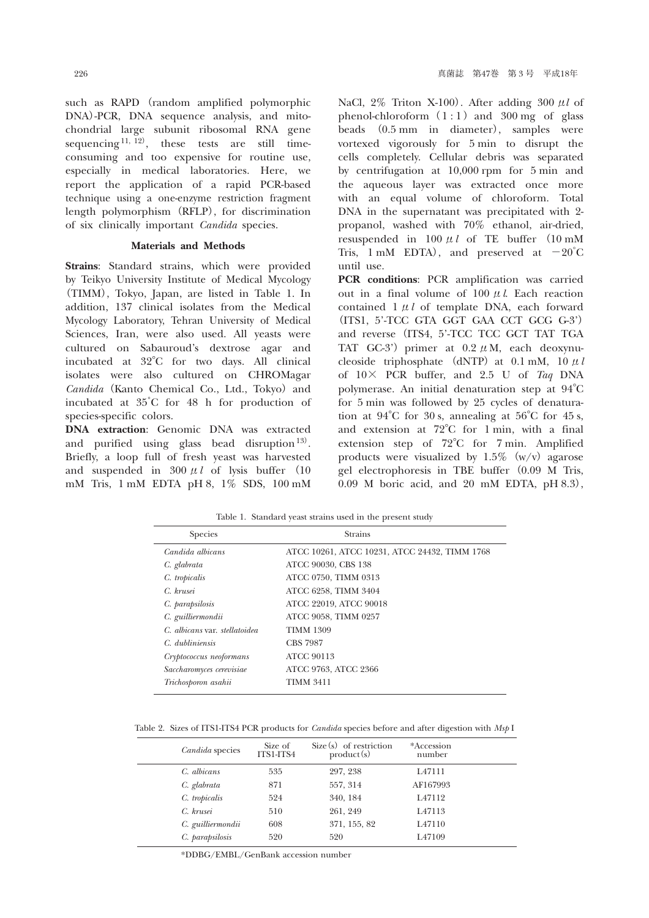such as RAPD (random amplified polymorphic DNA)-PCR, DNA sequence analysis, and mitochondrial large subunit ribosomal RNA gene sequencing<sup>11, 12)</sup>, these tests are still timeconsuming and too expensive for routine use, especially in medical laboratories. Here, we report the application of a rapid PCR-based technique using a one-enzyme restriction fragment length polymorphism (RFLP), for discrimination of six clinically important *Candida* species.

# **Materials and Methods**

**Strains**: Standard strains, which were provided by Teikyo University Institute of Medical Mycology (TIMM), Tokyo, Japan, are listed in Table 1. In addition, 137 clinical isolates from the Medical Mycology Laboratory, Tehran University of Medical Sciences, Iran, were also used. All yeasts were cultured on Sabauroud's dextrose agar and incubated at 32°C for two days. All clinical isolates were also cultured on CHROMagar *Candida* (Kanto Chemical Co., Ltd., Tokyo) and incubated at 35゜C for 48 h for production of species-specific colors.

**DNA extraction**: Genomic DNA was extracted and purified using glass bead disruption<sup>13)</sup>. Briefly, a loop full of fresh yeast was harvested and suspended in  $300 \mu l$  of lysis buffer (10) mM Tris, 1 mM EDTA pH 8, 1% SDS, 100 mM

NaCl, 2% Triton X-100). After adding 300 μ*l* of phenol-chloroform  $(1:1)$  and 300 mg of glass beads (0.5 mm in diameter), samples were vortexed vigorously for 5 min to disrupt the cells completely. Cellular debris was separated by centrifugation at 10,000 rpm for 5 min and the aqueous layer was extracted once more with an equal volume of chloroform. Total DNA in the supernatant was precipitated with 2 propanol, washed with 70% ethanol, air-dried, resuspended in 100 μ*l* of TE buffer (10 mM Tris, 1 mM EDTA), and preserved at  $-20^{\circ}$ C until use.

**PCR conditions**: PCR amplification was carried out in a final volume of 100 μ*l*. Each reaction contained 1 μ*l* of template DNA, each forward (ITS1, 5'-TCC GTA GGT GAA CCT GCG G-3') and reverse (ITS4, 5'-TCC TCC GCT TAT TGA TAT GC-3') primer at  $0.2 \mu M$ , each deoxynucleoside triphosphate (dNTP) at  $0.1$  mM,  $10 \mu l$ of 10× PCR buffer, and 2.5 U of *Taq* DNA polymerase. An initial denaturation step at 94°C for 5 min was followed by 25 cycles of denaturation at  $94^{\circ}$ C for 30 s, annealing at  $56^{\circ}$ C for 45 s, and extension at 72°C for 1 min, with a final extension step of 72°C for 7 min. Amplified products were visualized by  $1.5\%$  (w/v) agarose gel electrophoresis in TBE buffer (0.09 M Tris, 0.09 M boric acid, and 20 mM EDTA, pH 8.3),

| <b>Species</b>                | <b>Strains</b>                                |  |  |  |
|-------------------------------|-----------------------------------------------|--|--|--|
| Candida albicans              | ATCC 10261, ATCC 10231, ATCC 24432, TIMM 1768 |  |  |  |
| C. glabrata                   | ATCC 90030, CBS 138                           |  |  |  |
| C. tropicalis                 | ATCC 0750, TIMM 0313                          |  |  |  |
| C. krusei                     | ATCC 6258, TIMM 3404                          |  |  |  |
| C. parapsilosis               | ATCC 22019, ATCC 90018                        |  |  |  |
| C. guilliermondii             | ATCC 9058, TIMM 0257                          |  |  |  |
| C. albicans var. stellatoidea | <b>TIMM 1309</b>                              |  |  |  |
| C. dubliniensis               | <b>CBS 7987</b>                               |  |  |  |
| Cryptococcus neoformans       | <b>ATCC 90113</b>                             |  |  |  |
| Saccharomyces cerevisiae      | ATCC 9763, ATCC 2366                          |  |  |  |
| Trichosporon asahii           | <b>TIMM 3411</b>                              |  |  |  |
|                               |                                               |  |  |  |

Table 1. Standard yeast strains used in the present study

Table 2. Sizes of ITS1-ITS4 PCR products for *Candida* species before and after digestion with *Msp* I

| Candida species   | Size of<br>ITS1-ITS4 | $Size(s)$ of restriction<br>product(s) | *Accession<br>number |  |
|-------------------|----------------------|----------------------------------------|----------------------|--|
| C. albicans       | 535                  | 297, 238                               | L47111               |  |
| C. glabrata       | 871                  | 557, 314                               | AF167993             |  |
| C. tropicalis     | 524                  | 340, 184                               | L <sub>47112</sub>   |  |
| C. krusei         | 510                  | 261, 249                               | L47113               |  |
| C. guilliermondii | 608                  | 371, 155, 82                           | L47110               |  |
| C. parapsilosis   | 520                  | 520                                    | L <sub>47109</sub>   |  |

\*DDBG/EMBL/GenBank accession number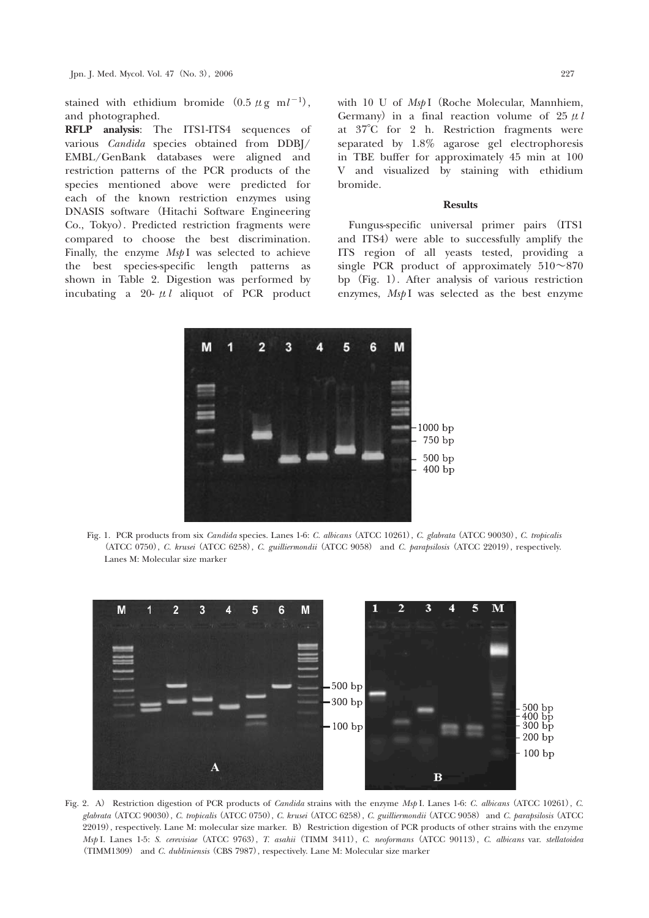**RFLP analysis**: The ITS1-ITS4 sequences of various *Candida* species obtained from DDBJ/ EMBL/GenBank databases were aligned and restriction patterns of the PCR products of the species mentioned above were predicted for each of the known restriction enzymes using DNASIS software (Hitachi Software Engineering Co., Tokyo). Predicted restriction fragments were compared to choose the best discrimination. Finally, the enzyme *MspI* was selected to achieve the best species-specific length patterns as shown in Table 2. Digestion was performed by incubating a 20- μ*l* aliquot of PCR product

with 10 U of *Msp* I (Roche Molecular, Mannhiem, Germany) in a final reaction volume of  $25 \mu l$ at 37°C for 2 h. Restriction fragments were separated by 1.8% agarose gel electrophoresis in TBE buffer for approximately 45 min at 100 V and visualized by staining with ethidium bromide.

### **Results**

Fungus-specific universal primer pairs (ITS1 and ITS4) were able to successfully amplify the ITS region of all yeasts tested, providing a single PCR product of approximately  $510 \sim 870$ bp (Fig. 1). After analysis of various restriction enzymes, *MspI* was selected as the best enzyme



Fig. 1. PCR products from six *Candida* species. Lanes 1-6: *C. albicans*(ATCC 10261), *C. glabrata*(ATCC 90030), *C. tropicalis* (ATCC 0750), *C. krusei*(ATCC 6258), *C. guilliermondii*(ATCC 9058) and *C. parapsilosis*(ATCC 22019), respectively. Lanes M: Molecular size marker



Fig. 2. A) Restriction digestion of PCR products of *Candida* strains with the enzyme *Msp* I. Lanes 1-6: *C. albicans*(ATCC 10261), *C. glabrata*(ATCC 90030), *C. tropicalis*(ATCC 0750), *C. krusei*(ATCC 6258), *C. guilliermondii*(ATCC 9058)and *C. parapsilosis*(ATCC 22019), respectively. Lane M: molecular size marker. B) Restriction digestion of PCR products of other strains with the enzyme *Msp* I. Lanes 1-5: *S. cerevisiae*(ATCC 9763), *T. asahii*(TIMM 3411), *C. neoformans*(ATCC 90113), *C. albicans* var. *stellatoidea* (TIMM1309) and *C. dubliniensis*(CBS 7987), respectively. Lane M: Molecular size marker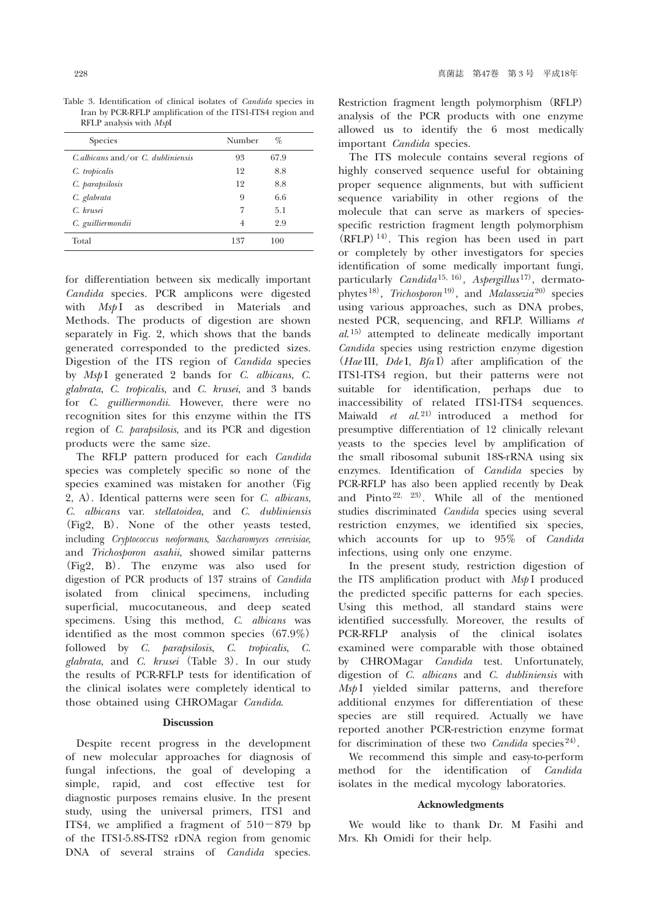Table 3. Identification of clinical isolates of *Candida* species in Iran by PCR-RFLP amplification of the ITS1-ITS4 region and RFLP analysis with *Msp*I

| <b>Species</b>                         | Number         | %    |
|----------------------------------------|----------------|------|
| $C$ albicans and/or $C$ , dubliniensis | 93             | 67.9 |
| C. tropicalis                          | 12             | 8.8  |
| C. parapsilosis                        | 12             | 8.8  |
| C. glabrata                            | 9              | 6.6  |
| C. krusei                              |                | 5.1  |
| C. guilliermondii                      | $\overline{4}$ | 2.9  |
| Total                                  | 137            | 100  |

for differentiation between six medically important *Candida* species. PCR amplicons were digested with *MspI* as described in Materials and Methods. The products of digestion are shown separately in Fig. 2, which shows that the bands generated corresponded to the predicted sizes. Digestion of the ITS region of *Candida* species by *Msp* I generated 2 bands for *C. albicans*, *C. glabrata*, *C. tropicalis*, and *C. krusei*, and 3 bands for *C. guilliermondii*. However, there were no recognition sites for this enzyme within the ITS region of *C. parapsilosis*, and its PCR and digestion products were the same size.

The RFLP pattern produced for each *Candida* species was completely specific so none of the species examined was mistaken for another (Fig 2, A). Identical patterns were seen for *C. albicans*, *C. albicans* var. *stellatoidea*, and *C. dubliniensis* (Fig2, B). None of the other yeasts tested, including *Cryptococcus neoformans*, *Saccharomyces cerevisiae*, and *Trichosporon asahii*, showed similar patterns (Fig2, B). The enzyme was also used for digestion of PCR products of 137 strains of *Candida* isolated from clinical specimens, including superficial, mucocutaneous, and deep seated specimens. Using this method, *C. albicans* was identified as the most common species (67.9%) followed by *C. parapsilosis*, *C. tropicalis*, *C. glabrata*, and *C. krusei*(Table 3). In our study the results of PCR-RFLP tests for identification of the clinical isolates were completely identical to those obtained using CHROMagar *Candida*.

## **Discussion**

Despite recent progress in the development of new molecular approaches for diagnosis of fungal infections, the goal of developing a simple, rapid, and cost effective test for diagnostic purposes remains elusive. In the present study, using the universal primers, ITS1 and ITS4, we amplified a fragment of  $510-879$  bp of the ITS1-5.8S-ITS2 rDNA region from genomic DNA of several strains of *Candida* species.

Restriction fragment length polymorphism (RFLP) analysis of the PCR products with one enzyme allowed us to identify the 6 most medically important *Candida* species.

The ITS molecule contains several regions of highly conserved sequence useful for obtaining proper sequence alignments, but with sufficient sequence variability in other regions of the molecule that can serve as markers of speciesspecific restriction fragment length polymorphism  $(RFLP)^{14}$ . This region has been used in part or completely by other investigators for species identification of some medically important fungi, particularly *Candida* 15, 16), *Aspergillus* <sup>17</sup>), dermatophytes <sup>18)</sup>, *Trichosporon*<sup>19)</sup>, and *Malassezia*<sup>20)</sup> species using various approaches, such as DNA probes, nested PCR, sequencing, and RFLP. Williams *et al*. <sup>15</sup>) attempted to delineate medically important *Candida* species using restriction enzyme digestion (*Hae* III, *Dde* I, *Bfa* I) after amplification of the ITS1-ITS4 region, but their patterns were not suitable for identification, perhaps due to inaccessibility of related ITS1-ITS4 sequences. Maiwald *et al.*<sup>21)</sup> introduced a method for presumptive differentiation of 12 clinically relevant yeasts to the species level by amplification of the small ribosomal subunit 18S-rRNA using six enzymes. Identification of *Candida* species by PCR-RFLP has also been applied recently by Deak and Pinto<sup>22, 23</sup>). While all of the mentioned studies discriminated *Candida* species using several restriction enzymes, we identified six species, which accounts for up to 95% of *Candida* infections, using only one enzyme.

In the present study, restriction digestion of the ITS amplification product with *Msp* I produced the predicted specific patterns for each species. Using this method, all standard stains were identified successfully. Moreover, the results of PCR-RFLP analysis of the clinical isolates examined were comparable with those obtained by CHROMagar *Candida* test. Unfortunately, digestion of *C. albicans* and *C. dubliniensis* with *Msp* I yielded similar patterns, and therefore additional enzymes for differentiation of these species are still required. Actually we have reported another PCR-restriction enzyme format for discrimination of these two *Candida* species <sup>24</sup>).

We recommend this simple and easy-to-perform method for the identification of *Candida* isolates in the medical mycology laboratories.

# **Acknowledgments**

We would like to thank Dr. M Fasihi and Mrs. Kh Omidi for their help.